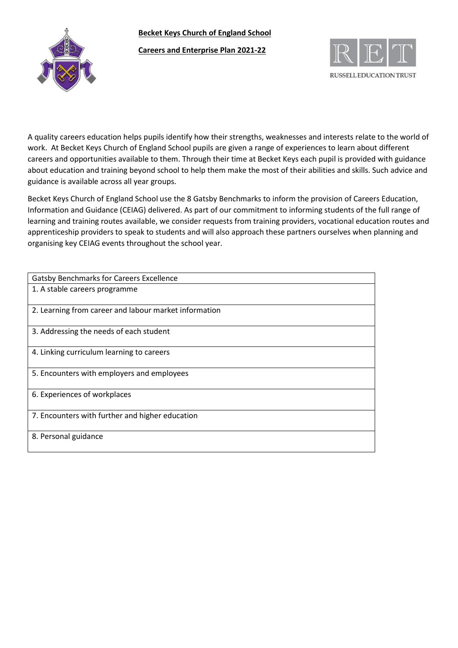**Becket Keys Church of England School**



**Careers and Enterprise Plan 2021-22**



A quality careers education helps pupils identify how their strengths, weaknesses and interests relate to the world of work. At Becket Keys Church of England School pupils are given a range of experiences to learn about different careers and opportunities available to them. Through their time at Becket Keys each pupil is provided with guidance about education and training beyond school to help them make the most of their abilities and skills. Such advice and guidance is available across all year groups.

Becket Keys Church of England School use the 8 Gatsby Benchmarks to inform the provision of Careers Education, Information and Guidance (CEIAG) delivered. As part of our commitment to informing students of the full range of learning and training routes available, we consider requests from training providers, vocational education routes and apprenticeship providers to speak to students and will also approach these partners ourselves when planning and organising key CEIAG events throughout the school year.

| <b>Gatsby Benchmarks for Careers Excellence</b>       |
|-------------------------------------------------------|
| 1. A stable careers programme                         |
| 2. Learning from career and labour market information |
| 3. Addressing the needs of each student               |
| 4. Linking curriculum learning to careers             |
| 5. Encounters with employers and employees            |
| 6. Experiences of workplaces                          |
| 7. Encounters with further and higher education       |
| 8. Personal guidance                                  |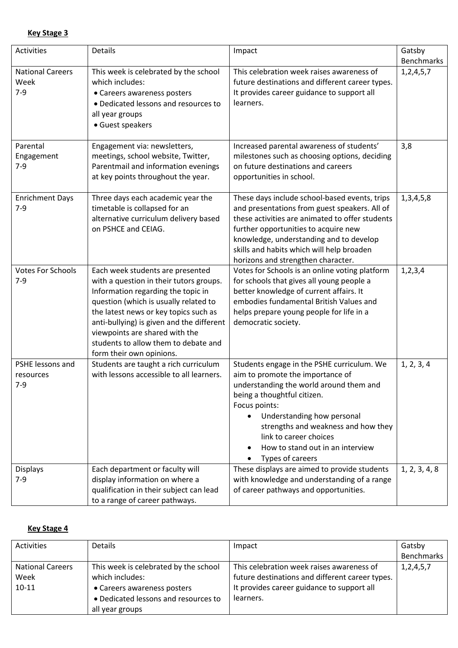| Key Stage 3 |  |
|-------------|--|
|             |  |

| Activities                                 | Details                                                                                                                                                                                                                                                                                                                                                | Impact                                                                                                                                                                                                                                                                                                                                        | Gatsby<br><b>Benchmarks</b> |
|--------------------------------------------|--------------------------------------------------------------------------------------------------------------------------------------------------------------------------------------------------------------------------------------------------------------------------------------------------------------------------------------------------------|-----------------------------------------------------------------------------------------------------------------------------------------------------------------------------------------------------------------------------------------------------------------------------------------------------------------------------------------------|-----------------------------|
| <b>National Careers</b><br>Week<br>$7 - 9$ | This week is celebrated by the school<br>which includes:<br>• Careers awareness posters<br>• Dedicated lessons and resources to<br>all year groups<br>• Guest speakers                                                                                                                                                                                 | This celebration week raises awareness of<br>future destinations and different career types.<br>It provides career guidance to support all<br>learners.                                                                                                                                                                                       | 1, 2, 4, 5, 7               |
| Parental<br>Engagement<br>$7 - 9$          | Engagement via: newsletters,<br>meetings, school website, Twitter,<br>Parentmail and information evenings<br>at key points throughout the year.                                                                                                                                                                                                        | Increased parental awareness of students'<br>milestones such as choosing options, deciding<br>on future destinations and careers<br>opportunities in school.                                                                                                                                                                                  | 3,8                         |
| <b>Enrichment Days</b><br>$7 - 9$          | Three days each academic year the<br>timetable is collapsed for an<br>alternative curriculum delivery based<br>on PSHCE and CEIAG.                                                                                                                                                                                                                     | These days include school-based events, trips<br>and presentations from guest speakers. All of<br>these activities are animated to offer students<br>further opportunities to acquire new<br>knowledge, understanding and to develop<br>skills and habits which will help broaden<br>horizons and strengthen character.                       | 1, 3, 4, 5, 8               |
| <b>Votes For Schools</b><br>$7 - 9$        | Each week students are presented<br>with a question in their tutors groups.<br>Information regarding the topic in<br>question (which is usually related to<br>the latest news or key topics such as<br>anti-bullying) is given and the different<br>viewpoints are shared with the<br>students to allow them to debate and<br>form their own opinions. | Votes for Schools is an online voting platform<br>for schools that gives all young people a<br>better knowledge of current affairs. It<br>embodies fundamental British Values and<br>helps prepare young people for life in a<br>democratic society.                                                                                          | 1, 2, 3, 4                  |
| PSHE lessons and<br>resources<br>$7-9$     | Students are taught a rich curriculum<br>with lessons accessible to all learners.                                                                                                                                                                                                                                                                      | Students engage in the PSHE curriculum. We<br>aim to promote the importance of<br>understanding the world around them and<br>being a thoughtful citizen.<br>Focus points:<br>Understanding how personal<br>$\bullet$<br>strengths and weakness and how they<br>link to career choices<br>How to stand out in an interview<br>Types of careers | 1, 2, 3, 4                  |
| <b>Displays</b><br>$7-9$                   | Each department or faculty will<br>display information on where a<br>qualification in their subject can lead<br>to a range of career pathways.                                                                                                                                                                                                         | These displays are aimed to provide students<br>with knowledge and understanding of a range<br>of career pathways and opportunities.                                                                                                                                                                                                          | 1, 2, 3, 4, 8               |

## **Key Stage 4**

| Activities              | <b>Details</b>                        | Impact                                          | Gatsby        |
|-------------------------|---------------------------------------|-------------------------------------------------|---------------|
|                         |                                       |                                                 | Benchmarks    |
| <b>National Careers</b> | This week is celebrated by the school | This celebration week raises awareness of       | 1, 2, 4, 5, 7 |
| Week                    | which includes:                       | future destinations and different career types. |               |
| $10-11$                 | • Careers awareness posters           | It provides career guidance to support all      |               |
|                         | • Dedicated lessons and resources to  | learners.                                       |               |
|                         | all year groups                       |                                                 |               |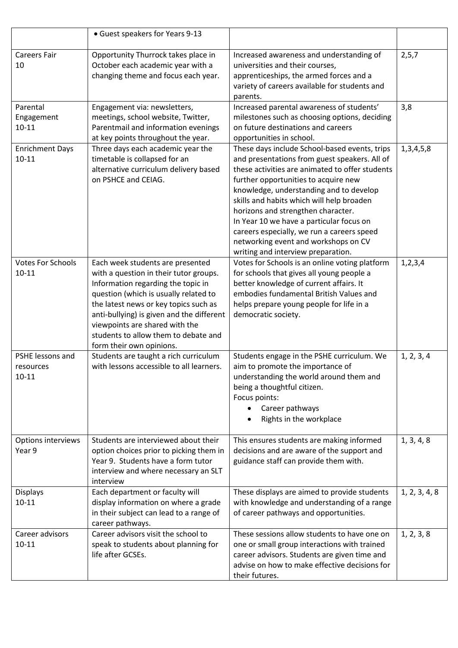|                                            | • Guest speakers for Years 9-13                                                                                                                                                                                                                                                                                                                       |                                                                                                                                                                                                                                                                                                                                                                                                                                                                                                 |               |
|--------------------------------------------|-------------------------------------------------------------------------------------------------------------------------------------------------------------------------------------------------------------------------------------------------------------------------------------------------------------------------------------------------------|-------------------------------------------------------------------------------------------------------------------------------------------------------------------------------------------------------------------------------------------------------------------------------------------------------------------------------------------------------------------------------------------------------------------------------------------------------------------------------------------------|---------------|
| <b>Careers Fair</b><br>10                  | Opportunity Thurrock takes place in<br>October each academic year with a<br>changing theme and focus each year.                                                                                                                                                                                                                                       | Increased awareness and understanding of<br>universities and their courses,<br>apprenticeships, the armed forces and a<br>variety of careers available for students and<br>parents.                                                                                                                                                                                                                                                                                                             | 2, 5, 7       |
| Parental<br>Engagement<br>$10 - 11$        | Engagement via: newsletters,<br>meetings, school website, Twitter,<br>Parentmail and information evenings<br>at key points throughout the year.                                                                                                                                                                                                       | Increased parental awareness of students'<br>milestones such as choosing options, deciding<br>on future destinations and careers<br>opportunities in school.                                                                                                                                                                                                                                                                                                                                    | 3,8           |
| <b>Enrichment Days</b><br>$10 - 11$        | Three days each academic year the<br>timetable is collapsed for an<br>alternative curriculum delivery based<br>on PSHCE and CEIAG.                                                                                                                                                                                                                    | These days include School-based events, trips<br>and presentations from guest speakers. All of<br>these activities are animated to offer students<br>further opportunities to acquire new<br>knowledge, understanding and to develop<br>skills and habits which will help broaden<br>horizons and strengthen character.<br>In Year 10 we have a particular focus on<br>careers especially, we run a careers speed<br>networking event and workshops on CV<br>writing and interview preparation. | 1, 3, 4, 5, 8 |
| <b>Votes For Schools</b><br>$10 - 11$      | Each week students are presented<br>with a question in their tutor groups.<br>Information regarding the topic in<br>question (which is usually related to<br>the latest news or key topics such as<br>anti-bullying) is given and the different<br>viewpoints are shared with the<br>students to allow them to debate and<br>form their own opinions. | Votes for Schools is an online voting platform<br>for schools that gives all young people a<br>better knowledge of current affairs. It<br>embodies fundamental British Values and<br>helps prepare young people for life in a<br>democratic society.                                                                                                                                                                                                                                            | 1, 2, 3, 4    |
| PSHE lessons and<br>resources<br>$10 - 11$ | Students are taught a rich curriculum<br>with lessons accessible to all learners.                                                                                                                                                                                                                                                                     | Students engage in the PSHE curriculum. We<br>aim to promote the importance of<br>understanding the world around them and<br>being a thoughtful citizen.<br>Focus points:<br>Career pathways<br>Rights in the workplace                                                                                                                                                                                                                                                                         | 1, 2, 3, 4    |
| Options interviews<br>Year 9               | Students are interviewed about their<br>option choices prior to picking them in<br>Year 9. Students have a form tutor<br>interview and where necessary an SLT<br>interview                                                                                                                                                                            | This ensures students are making informed<br>decisions and are aware of the support and<br>guidance staff can provide them with.                                                                                                                                                                                                                                                                                                                                                                | 1, 3, 4, 8    |
| <b>Displays</b><br>$10 - 11$               | Each department or faculty will<br>display information on where a grade<br>in their subject can lead to a range of<br>career pathways.                                                                                                                                                                                                                | These displays are aimed to provide students<br>with knowledge and understanding of a range<br>of career pathways and opportunities.                                                                                                                                                                                                                                                                                                                                                            | 1, 2, 3, 4, 8 |
| Career advisors<br>$10 - 11$               | Career advisors visit the school to<br>speak to students about planning for<br>life after GCSEs.                                                                                                                                                                                                                                                      | These sessions allow students to have one on<br>one or small group interactions with trained<br>career advisors. Students are given time and<br>advise on how to make effective decisions for<br>their futures.                                                                                                                                                                                                                                                                                 | 1, 2, 3, 8    |